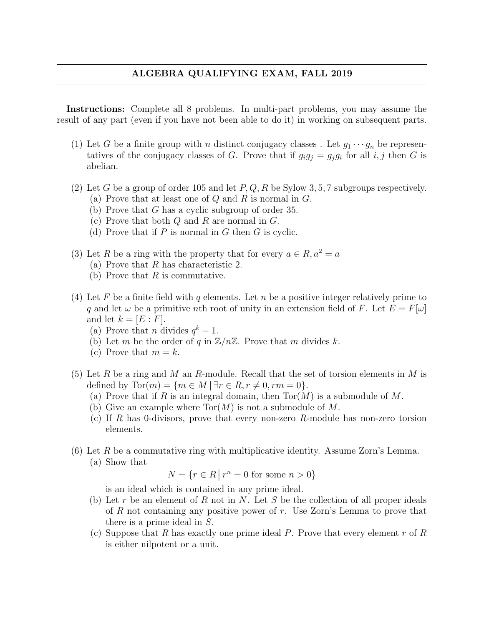## ALGEBRA QUALIFYING EXAM, FALL 2019

Instructions: Complete all 8 problems. In multi-part problems, you may assume the result of any part (even if you have not been able to do it) in working on subsequent parts.

- (1) Let G be a finite group with n distinct conjugacy classes. Let  $g_1 \cdots g_n$  be representatives of the conjugacy classes of G. Prove that if  $g_i g_j = g_j g_i$  for all  $i, j$  then G is abelian.
- (2) Let G be a group of order 105 and let  $P, Q, R$  be Sylow 3, 5, 7 subgroups respectively.
	- (a) Prove that at least one of  $Q$  and  $R$  is normal in  $G$ .
	- (b) Prove that G has a cyclic subgroup of order 35.
	- (c) Prove that both  $Q$  and  $R$  are normal in  $G$ .
	- (d) Prove that if  $P$  is normal in  $G$  then  $G$  is cyclic.
- (3) Let R be a ring with the property that for every  $a \in R$ ,  $a^2 = a$ 
	- (a) Prove that R has characteristic 2.
	- (b) Prove that  $R$  is commutative.
- (4) Let F be a finite field with q elements. Let n be a positive integer relatively prime to q and let  $\omega$  be a primitive nth root of unity in an extension field of F. Let  $E = F[\omega]$ and let  $k = [E : F].$ 
	- (a) Prove that *n* divides  $q^k 1$ .
	- (b) Let m be the order of q in  $\mathbb{Z}/n\mathbb{Z}$ . Prove that m divides k.
	- (c) Prove that  $m = k$ .
- (5) Let R be a ring and M an R-module. Recall that the set of torsion elements in M is defined by  $Tor(m) = \{m \in M \mid \exists r \in R, r \neq 0, rm = 0\}.$ 
	- (a) Prove that if R is an integral domain, then  $Tor(M)$  is a submodule of M.
	- (b) Give an example where  $Tor(M)$  is not a submodule of M.
	- (c) If R has 0-divisors, prove that every non-zero R-module has non-zero torsion elements.
- (6) Let R be a commutative ring with multiplicative identity. Assume Zorn's Lemma. (a) Show that

$$
N = \{r \in R \mid r^n = 0 \text{ for some } n > 0\}
$$

is an ideal which is contained in any prime ideal.

- (b) Let r be an element of R not in N. Let S be the collection of all proper ideals of R not containing any positive power of r. Use Zorn's Lemma to prove that there is a prime ideal in S.
- (c) Suppose that R has exactly one prime ideal P. Prove that every element r of R is either nilpotent or a unit.